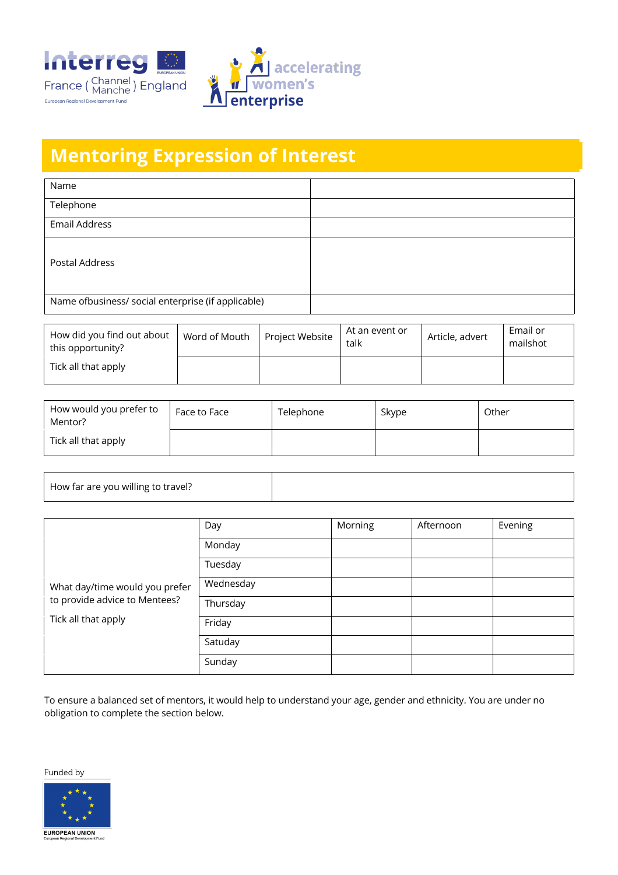



## **Mentoring Expression of Interest**

| Name                                               |  |
|----------------------------------------------------|--|
| Telephone                                          |  |
| <b>Email Address</b>                               |  |
| Postal Address                                     |  |
| Name ofbusiness/ social enterprise (if applicable) |  |

| How did you find out about<br>this opportunity? | Word of Mouth | Project Website | At an event or<br>talk | Article, advert | Email or<br>mailshot |
|-------------------------------------------------|---------------|-----------------|------------------------|-----------------|----------------------|
| Tick all that apply                             |               |                 |                        |                 |                      |

| How would you prefer to<br>Mentor? | Face to Face | Telephone | Skype | Other |
|------------------------------------|--------------|-----------|-------|-------|
| Tick all that apply                |              |           |       |       |

| How far are you willing to travel? |  |
|------------------------------------|--|

|                                                                                        | Day       | Morning | Afternoon | Evening |
|----------------------------------------------------------------------------------------|-----------|---------|-----------|---------|
| What day/time would you prefer<br>to provide advice to Mentees?<br>Tick all that apply | Monday    |         |           |         |
|                                                                                        | Tuesday   |         |           |         |
|                                                                                        | Wednesday |         |           |         |
|                                                                                        | Thursday  |         |           |         |
|                                                                                        | Friday    |         |           |         |
|                                                                                        | Satuday   |         |           |         |
|                                                                                        | Sunday    |         |           |         |

To ensure a balanced set of mentors, it would help to understand your age, gender and ethnicity. You are under no obligation to complete the section below.

Funded by

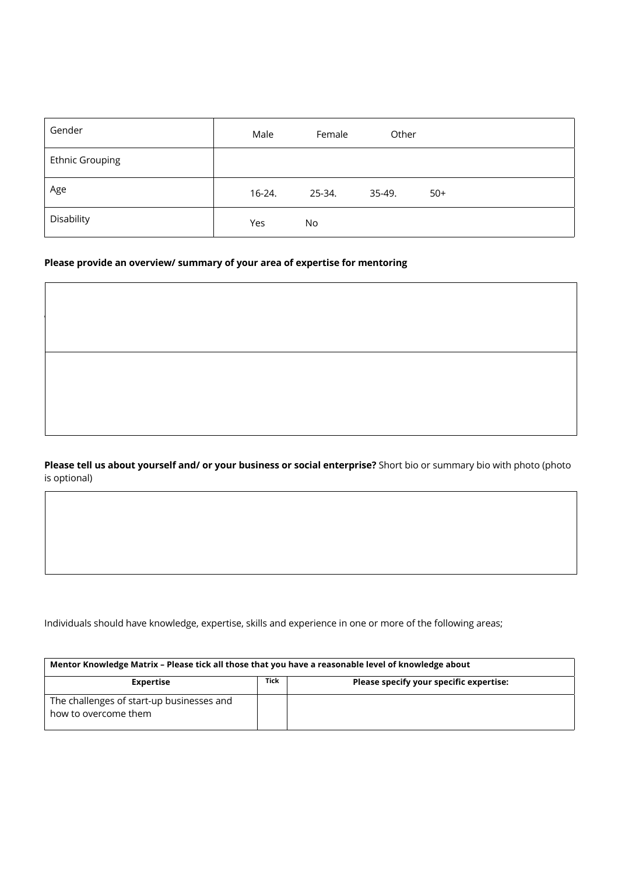| Gender                 | Male     | Female | Other  |       |
|------------------------|----------|--------|--------|-------|
| <b>Ethnic Grouping</b> |          |        |        |       |
| Age                    | $16-24.$ | 25-34. | 35-49. | $50+$ |
| Disability             | Yes      | No     |        |       |

**What do you hope mentees will take away from your mentoring?** Please consider that people attend from a range of

## **Please provide an overview/ summary of your area of expertise for mentoring**

backgrounds.

**Please tell us about yourself and/ or your business or social enterprise?** Short bio or summary bio with photo (photo is optional)

Individuals should have knowledge, expertise, skills and experience in one or more of the following areas;

| Mentor Knowledge Matrix - Please tick all those that you have a reasonable level of knowledge about |             |                                         |  |  |
|-----------------------------------------------------------------------------------------------------|-------------|-----------------------------------------|--|--|
| <b>Expertise</b>                                                                                    | <b>Tick</b> | Please specify your specific expertise: |  |  |
| The challenges of start-up businesses and<br>how to overcome them                                   |             |                                         |  |  |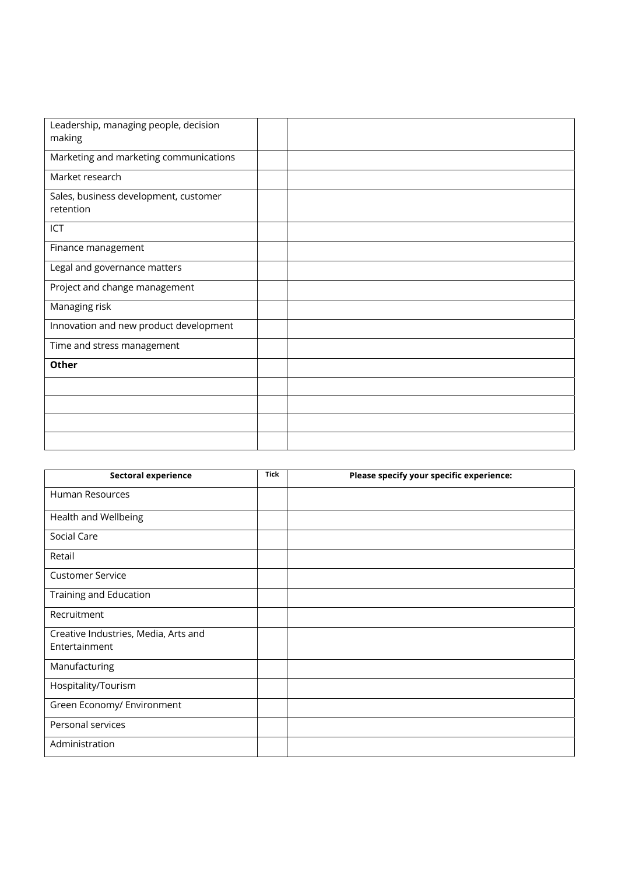| Leadership, managing people, decision<br>making    |  |
|----------------------------------------------------|--|
| Marketing and marketing communications             |  |
| Market research                                    |  |
| Sales, business development, customer<br>retention |  |
| ICT                                                |  |
| Finance management                                 |  |
| Legal and governance matters                       |  |
| Project and change management                      |  |
| Managing risk                                      |  |
| Innovation and new product development             |  |
| Time and stress management                         |  |
| Other                                              |  |
|                                                    |  |
|                                                    |  |
|                                                    |  |
|                                                    |  |

| <b>Sectoral experience</b>           | <b>Tick</b> | Please specify your specific experience: |
|--------------------------------------|-------------|------------------------------------------|
| Human Resources                      |             |                                          |
| Health and Wellbeing                 |             |                                          |
| Social Care                          |             |                                          |
| Retail                               |             |                                          |
| <b>Customer Service</b>              |             |                                          |
| Training and Education               |             |                                          |
| Recruitment                          |             |                                          |
| Creative Industries, Media, Arts and |             |                                          |
| Entertainment                        |             |                                          |
| Manufacturing                        |             |                                          |
| Hospitality/Tourism                  |             |                                          |
| Green Economy/ Environment           |             |                                          |
| Personal services                    |             |                                          |
| Administration                       |             |                                          |